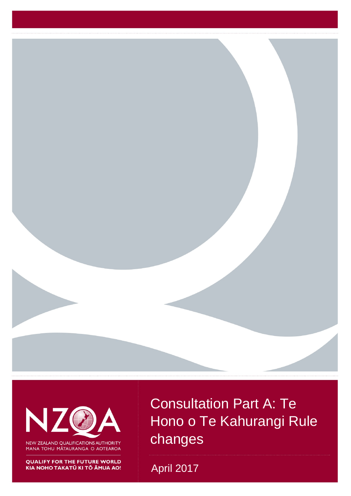

N

NEW ZEALAND QUALIFICATIONS AUTHORITY MANA TOHU MĀTAURANGA O AOTEAROA

**QUALIFY FOR THE FUTURE WORLD** 

Consultation Part A: Te Hono o Te Kahurangi Rule changes

TAKATŪ KITŌ ĀMUA AO! April 2017 1999 UNICENTE ANGLICE ANGLICE ANGLICE ANGLICE ANGLICE ANGLICE ANGLICE ANGLICE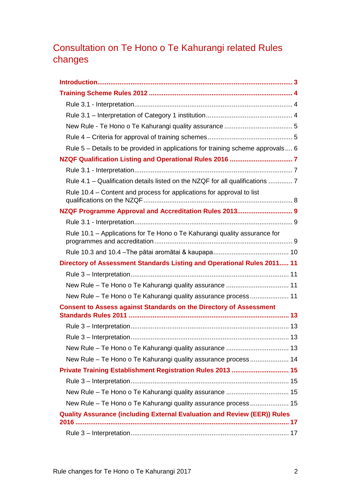# Consultation on Te Hono o Te Kahurangi related Rules changes

| Rule 5 - Details to be provided in applications for training scheme approvals 6 |
|---------------------------------------------------------------------------------|
|                                                                                 |
|                                                                                 |
| Rule 4.1 - Qualification details listed on the NZQF for all qualifications  7   |
| Rule 10.4 - Content and process for applications for approval to list           |
| NZQF Programme Approval and Accreditation Rules 2013 9                          |
|                                                                                 |
| Rule 10.1 - Applications for Te Hono o Te Kahurangi quality assurance for       |
|                                                                                 |
| Directory of Assessment Standards Listing and Operational Rules 2011 11         |
|                                                                                 |
| New Rule - Te Hono o Te Kahurangi quality assurance  11                         |
| New Rule - Te Hono o Te Kahurangi quality assurance process 11                  |
| <b>Consent to Assess against Standards on the Directory of Assessment</b>       |
|                                                                                 |
|                                                                                 |
|                                                                                 |
|                                                                                 |
| New Rule - Te Hono o Te Kahurangi quality assurance process 14                  |
| Private Training Establishment Registration Rules 2013  15                      |
|                                                                                 |
|                                                                                 |
| New Rule - Te Hono o Te Kahurangi quality assurance process 15                  |
| <b>Quality Assurance (including External Evaluation and Review (EER)) Rules</b> |
|                                                                                 |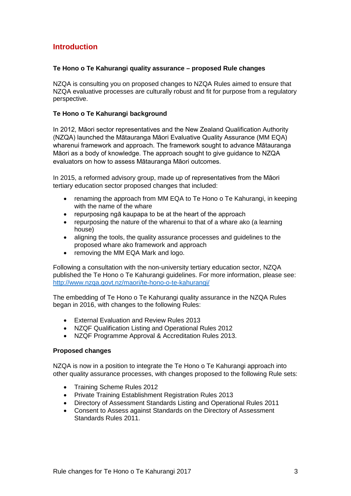# <span id="page-2-0"></span>**Introduction**

### **Te Hono o Te Kahurangi quality assurance – proposed Rule changes**

NZQA is consulting you on proposed changes to NZQA Rules aimed to ensure that NZQA evaluative processes are culturally robust and fit for purpose from a regulatory perspective.

#### **Te Hono o Te Kahurangi background**

In 2012, Māori sector representatives and the New Zealand Qualification Authority (NZQA) launched the Mātauranga Māori Evaluative Quality Assurance (MM EQA) wharenui framework and approach. The framework sought to advance Mātauranga Māori as a body of knowledge. The approach sought to give guidance to NZQA evaluators on how to assess Mātauranga Māori outcomes.

In 2015, a reformed advisory group, made up of representatives from the Māori tertiary education sector proposed changes that included:

- renaming the approach from MM EQA to Te Hono o Te Kahurangi, in keeping with the name of the whare
- repurposing ngā kaupapa to be at the heart of the approach
- repurposing the nature of the wharenui to that of a whare ako (a learning house)
- aligning the tools, the quality assurance processes and guidelines to the proposed whare ako framework and approach
- removing the MM EQA Mark and logo.

Following a consultation with the non-university tertiary education sector, NZQA published the Te Hono o Te Kahurangi guidelines. For more information, please see: <http://www.nzqa.govt.nz/maori/te-hono-o-te-kahurangi/>

The embedding of Te Hono o Te Kahurangi quality assurance in the NZQA Rules began in 2016, with changes to the following Rules:

- External Evaluation and Review Rules 2013
- NZQF Qualification Listing and Operational Rules 2012
- NZQF Programme Approval & Accreditation Rules 2013.

#### **Proposed changes**

NZQA is now in a position to integrate the Te Hono o Te Kahurangi approach into other quality assurance processes, with changes proposed to the following Rule sets:

- Training Scheme Rules 2012
- Private Training Establishment Registration Rules 2013
- Directory of Assessment Standards Listing and Operational Rules 2011
- Consent to Assess against Standards on the Directory of Assessment Standards Rules 2011.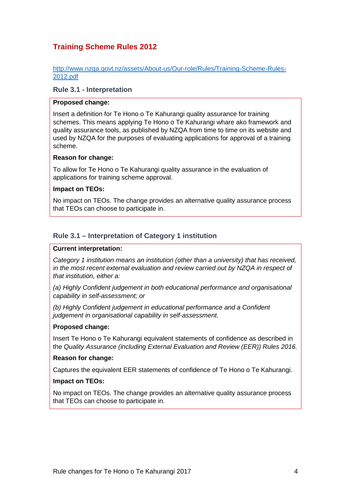# <span id="page-3-0"></span>**Training Scheme Rules 2012**

http://www.nzqa.govt.nz/assets/About-us/Our-role/Rules/Training-Scheme-Rules-2012.pdf

## <span id="page-3-1"></span>**Rule 3.1 - Interpretation**

#### **Proposed change:**

Insert a definition for Te Hono o Te Kahurangi quality assurance for training schemes. This means applying Te Hono o Te Kahurangi whare ako framework and quality assurance tools, as published by NZQA from time to time on its website and used by NZQA for the purposes of evaluating applications for approval of a training scheme.

#### **Reason for change:**

To allow for Te Hono o Te Kahurangi quality assurance in the evaluation of applications for training scheme approval.

### **Impact on TEOs:**

No impact on TEOs. The change provides an alternative quality assurance process that TEOs can choose to participate in.

# <span id="page-3-2"></span>**Rule 3.1 – Interpretation of Category 1 institution**

#### **Current interpretation:**

*Category 1 institution means an institution (other than a university) that has received, in the most recent external evaluation and review carried out by NZQA in respect of that institution, either a:* 

*(a) Highly Confident judgement in both educational performance and organisational capability in self-assessment; or* 

*(b) Highly Confident judgement in educational performance and a Confident judgement in organisational capability in self-assessment.* 

### **Proposed change:**

Insert Te Hono o Te Kahurangi equivalent statements of confidence as described in the *Quality Assurance (including External Evaluation and Review (EER)) Rules 2016.* 

#### **Reason for change:**

Captures the equivalent EER statements of confidence of Te Hono o Te Kahurangi.

#### **Impact on TEOs:**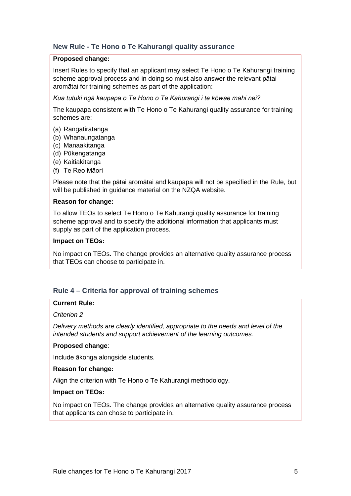# <span id="page-4-0"></span>**New Rule - Te Hono o Te Kahurangi quality assurance**

#### **Proposed change:**

Insert Rules to specify that an applicant may select Te Hono o Te Kahurangi training scheme approval process and in doing so must also answer the relevant pātai aromātai for training schemes as part of the application:

*Kua tutuki ngā kaupapa o Te Hono o Te Kahurangi i te kōwae mahi nei?*

The kaupapa consistent with Te Hono o Te Kahurangi quality assurance for training schemes are:

- (a) Rangatiratanga
- (b) Whanaungatanga
- (c) Manaakitanga
- (d) Pūkengatanga
- (e) Kaitiakitanga
- (f) Te Reo Māori

Please note that the pātai aromātai and kaupapa will not be specified in the Rule, but will be published in guidance material on the NZQA website.

#### **Reason for change:**

To allow TEOs to select Te Hono o Te Kahurangi quality assurance for training scheme approval and to specify the additional information that applicants must supply as part of the application process.

#### **Impact on TEOs:**

No impact on TEOs. The change provides an alternative quality assurance process that TEOs can choose to participate in.

# <span id="page-4-1"></span>**Rule 4 – Criteria for approval of training schemes**

#### **Current Rule:**

#### *Criterion 2*

*Delivery methods are clearly identified, appropriate to the needs and level of the intended students and support achievement of the learning outcomes.* 

### **Proposed change**:

Include ākonga alongside students.

#### **Reason for change:**

Align the criterion with Te Hono o Te Kahurangi methodology.

### **Impact on TEOs:**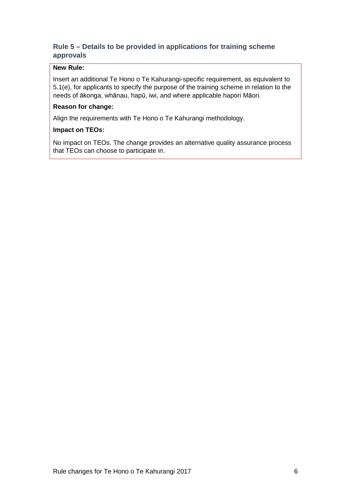# <span id="page-5-0"></span>**Rule 5 – Details to be provided in applications for training scheme approvals**

### **New Rule:**

Insert an additional Te Hono o Te Kahurangi-specific requirement, as equivalent to 5.1(e), for applicants to specify the purpose of the training scheme in relation to the needs of ākonga, whānau, hapū, iwi, and where applicable hapori Māori.

# **Reason for change:**

Align the requirements with Te Hono o Te Kahurangi methodology.

### **Impact on TEOs:**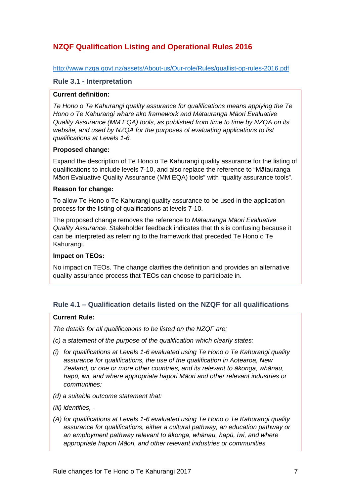# <span id="page-6-0"></span>**NZQF Qualification Listing and Operational Rules 2016**

### <http://www.nzqa.govt.nz/assets/About-us/Our-role/Rules/quallist-op-rules-2016.pdf>

## <span id="page-6-1"></span>**Rule 3.1 - Interpretation**

### **Current definition:**

*Te Hono o Te Kahurangi quality assurance for qualifications means applying the Te Hono o Te Kahurangi whare ako framework and Mātauranga Māori Evaluative Quality Assurance (MM EQA) tools, as published from time to time by NZQA on its website, and used by NZQA for the purposes of evaluating applications to list qualifications at Levels 1-6.* 

### **Proposed change:**

Expand the description of Te Hono o Te Kahurangi quality assurance for the listing of qualifications to include levels 7-10, and also replace the reference to "Mātauranga Māori Evaluative Quality Assurance (MM EQA) tools" with "quality assurance tools".

### **Reason for change:**

To allow Te Hono o Te Kahurangi quality assurance to be used in the application process for the listing of qualifications at levels 7-10.

The proposed change removes the reference to *Mātauranga Māori Evaluative Quality Assurance. S*takeholder feedback indicates that this is confusing because it can be interpreted as referring to the framework that preceded Te Hono o Te Kahurangi.

# **Impact on TEOs:**

No impact on TEOs. The change clarifies the definition and provides an alternative quality assurance process that TEOs can choose to participate in.

# <span id="page-6-2"></span>**Rule 4.1 – Qualification details listed on the NZQF for all qualifications**

### **Current Rule:**

*The details for all qualifications to be listed on the NZQF are:*

- *(c) a statement of the purpose of the qualification which clearly states:*
- *(i) for qualifications at Levels 1-6 evaluated using Te Hono o Te Kahurangi quality assurance for qualifications, the use of the qualification in Aotearoa, New Zealand, or one or more other countries, and its relevant to ākonga, whānau, hapū, iwi, and where appropriate hapori Māori and other relevant industries or communities:*
- *(d) a suitable outcome statement that:*
- *(iii) identifies, -*
- *(A) for qualifications at Levels 1-6 evaluated using Te Hono o Te Kahurangi quality assurance for qualifications, either a cultural pathway, an education pathway or an employment pathway relevant to ākonga, whānau, hapū, iwi, and where appropriate hapori Māori, and other relevant industries or communities.*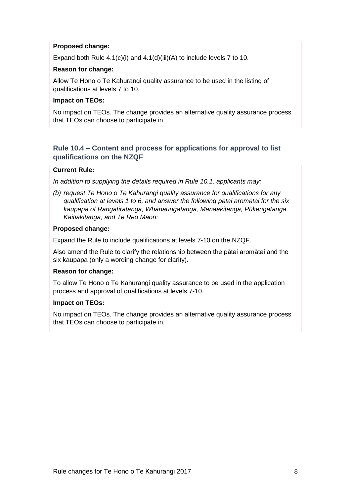### **Proposed change:**

Expand both Rule 4.1(c)(i) and 4.1(d)(iii)(A) to include levels 7 to 10.

### **Reason for change:**

Allow Te Hono o Te Kahurangi quality assurance to be used in the listing of qualifications at levels 7 to 10.

### **Impact on TEOs:**

No impact on TEOs. The change provides an alternative quality assurance process that TEOs can choose to participate in.

# <span id="page-7-0"></span>**Rule 10.4 – Content and process for applications for approval to list qualifications on the NZQF**

### **Current Rule:**

*In addition to supplying the details required in Rule 10.1, applicants may:*

*(b) request Te Hono o Te Kahurangi quality assurance for qualifications for any qualification at levels 1 to 6, and answer the following pātai aromātai for the six kaupapa of Rangatiratanga, Whanaungatanga, Manaakitanga, Pūkengatanga, Kaitiakitanga, and Te Reo Maori:*

### **Proposed change:**

Expand the Rule to include qualifications at levels 7-10 on the NZQF.

Also amend the Rule to clarify the relationship between the pātai aromātai and the six kaupapa (only a wording change for clarity).

### **Reason for change:**

To allow Te Hono o Te Kahurangi quality assurance to be used in the application process and approval of qualifications at levels 7-10.

### **Impact on TEOs:**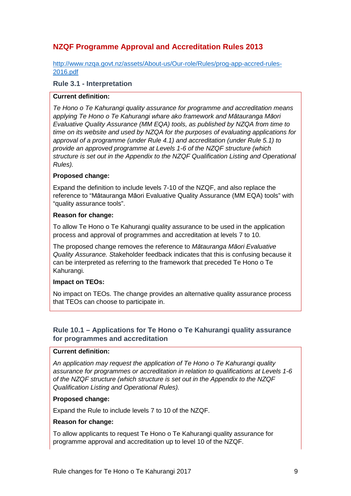# <span id="page-8-0"></span>**NZQF Programme Approval and Accreditation Rules 2013**

[http://www.nzqa.govt.nz/assets/About-us/Our-role/Rules/prog-app-accred-rules-](http://www.nzqa.govt.nz/assets/About-us/Our-role/Rules/prog-app-accred-rules-2016.pdf)[2016.pdf](http://www.nzqa.govt.nz/assets/About-us/Our-role/Rules/prog-app-accred-rules-2016.pdf)

### <span id="page-8-1"></span>**Rule 3.1 - Interpretation**

### **Current definition:**

*Te Hono o Te Kahurangi quality assurance for programme and accreditation means applying Te Hono o Te Kahurangi whare ako framework and Mātauranga Māori Evaluative Quality Assurance (MM EQA) tools, as published by NZQA from time to time on its website and used by NZQA for the purposes of evaluating applications for approval of a programme (under Rule 4.1) and accreditation (under Rule 5.1) to provide an approved programme at Levels 1-6 of the NZQF structure (which structure is set out in the Appendix to the NZQF Qualification Listing and Operational Rules).* 

### **Proposed change:**

Expand the definition to include levels 7-10 of the NZQF, and also replace the reference to "Mātauranga Māori Evaluative Quality Assurance (MM EQA) tools" with "quality assurance tools".

#### **Reason for change:**

To allow Te Hono o Te Kahurangi quality assurance to be used in the application process and approval of programmes and accreditation at levels 7 to 10.

The proposed change removes the reference to *Mātauranga Māori Evaluative Quality Assurance. S*takeholder feedback indicates that this is confusing because it can be interpreted as referring to the framework that preceded Te Hono o Te Kahurangi.

### **Impact on TEOs:**

No impact on TEOs. The change provides an alternative quality assurance process that TEOs can choose to participate in.

# <span id="page-8-2"></span>**Rule 10.1 – Applications for Te Hono o Te Kahurangi quality assurance for programmes and accreditation**

### **Current definition:**

*An application may request the application of Te Hono o Te Kahurangi quality assurance for programmes or accreditation in relation to qualifications at Levels 1-6 of the NZQF structure (which structure is set out in the Appendix to the NZQF Qualification Listing and Operational Rules).*

#### **Proposed change:**

Expand the Rule to include levels 7 to 10 of the NZQF.

### **Reason for change:**

To allow applicants to request Te Hono o Te Kahurangi quality assurance for programme approval and accreditation up to level 10 of the NZQF.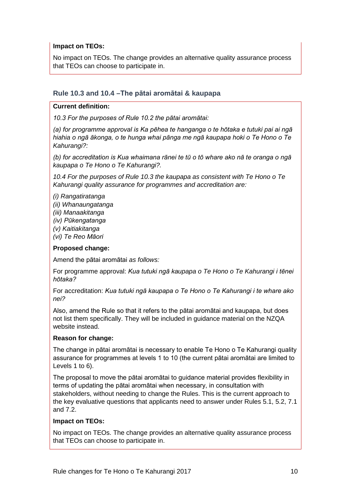### **Impact on TEOs:**

No impact on TEOs. The change provides an alternative quality assurance process that TEOs can choose to participate in.

# <span id="page-9-0"></span>**Rule 10.3 and 10.4 –The pātai aromātai & kaupapa**

### **Current definition:**

*10.3 For the purposes of Rule 10.2 the pātai aromātai:* 

*(a) for programme approval is Ka pēhea te hanganga o te hōtaka e tutuki pai ai ngā hiahia o ngā ākonga, o te hunga whai pānga me ngā kaupapa hoki o Te Hono o Te Kahurangi?:* 

*(b) for accreditation is Kua whaimana rānei te tū o tō whare ako nā te oranga o ngā kaupapa o Te Hono o Te Kahurangi?.* 

*10.4 For the purposes of Rule 10.3 the kaupapa as consistent with Te Hono o Te Kahurangi quality assurance for programmes and accreditation are:* 

- *(i) Rangatiratanga*
- *(ii) Whanaungatanga*
- *(iii) Manaakitanga*
- *(iv) Pūkengatanga*
- *(v) Kaitiakitanga*
- *(vi) Te Reo Māori*

# **Proposed change:**

Amend the pātai aromātai *as follows:*

For programme approval: *Kua tutuki ngā kaupapa o Te Hono o Te Kahurangi i tēnei hōtaka?*

For accreditation: *Kua tutuki ngā kaupapa o Te Hono o Te Kahurangi i te whare ako nei?*

Also, amend the Rule so that it refers to the pātai aromātai and kaupapa, but does not list them specifically. They will be included in guidance material on the NZQA website instead.

# **Reason for change:**

The change in pātai aromātai is necessary to enable Te Hono o Te Kahurangi quality assurance for programmes at levels 1 to 10 (the current pātai aromātai are limited to Levels 1 to 6).

The proposal to move the pātai aromātai to guidance material provides flexibility in terms of updating the pātai aromātai when necessary, in consultation with stakeholders, without needing to change the Rules. This is the current approach to the key evaluative questions that applicants need to answer under Rules 5.1, 5.2, 7.1 and 7.2.

# **Impact on TEOs:**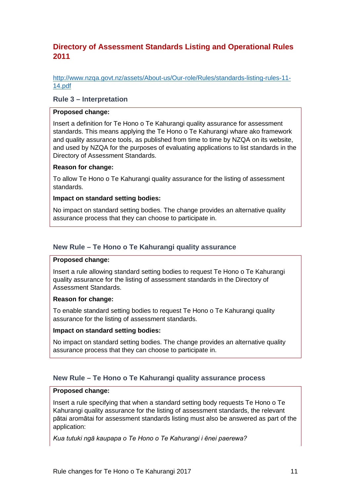# <span id="page-10-0"></span>**Directory of Assessment Standards Listing and Operational Rules 2011**

[http://www.nzqa.govt.nz/assets/About-us/Our-role/Rules/standards-listing-rules-11-](http://www.nzqa.govt.nz/assets/About-us/Our-role/Rules/standards-listing-rules-11-14.pdf) [14.pdf](http://www.nzqa.govt.nz/assets/About-us/Our-role/Rules/standards-listing-rules-11-14.pdf)

### <span id="page-10-1"></span>**Rule 3 – Interpretation**

#### **Proposed change:**

Insert a definition for Te Hono o Te Kahurangi quality assurance for assessment standards. This means applying the Te Hono o Te Kahurangi whare ako framework and quality assurance tools, as published from time to time by NZQA on its website, and used by NZQA for the purposes of evaluating applications to list standards in the Directory of Assessment Standards.

### **Reason for change:**

To allow Te Hono o Te Kahurangi quality assurance for the listing of assessment standards.

#### **Impact on standard setting bodies:**

No impact on standard setting bodies. The change provides an alternative quality assurance process that they can choose to participate in.

## <span id="page-10-2"></span>**New Rule – Te Hono o Te Kahurangi quality assurance**

#### **Proposed change:**

Insert a rule allowing standard setting bodies to request Te Hono o Te Kahurangi quality assurance for the listing of assessment standards in the Directory of Assessment Standards.

#### **Reason for change:**

To enable standard setting bodies to request Te Hono o Te Kahurangi quality assurance for the listing of assessment standards.

### **Impact on standard setting bodies:**

No impact on standard setting bodies. The change provides an alternative quality assurance process that they can choose to participate in.

# <span id="page-10-3"></span>**New Rule – Te Hono o Te Kahurangi quality assurance process**

# **Proposed change:**

Insert a rule specifying that when a standard setting body requests Te Hono o Te Kahurangi quality assurance for the listing of assessment standards, the relevant pātai aromātai for assessment standards listing must also be answered as part of the application:

*Kua tutuki ngā kaupapa o Te Hono o Te Kahurangi i ēnei paerewa?*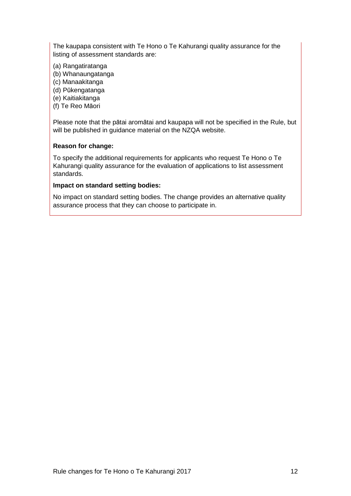The kaupapa consistent with Te Hono o Te Kahurangi quality assurance for the listing of assessment standards are:

- (a) Rangatiratanga
- (b) Whanaungatanga
- (c) Manaakitanga
- (d) Pūkengatanga
- (e) Kaitiakitanga
- (f) Te Reo Māori

Please note that the pātai aromātai and kaupapa will not be specified in the Rule, but will be published in guidance material on the NZQA website.

#### **Reason for change:**

To specify the additional requirements for applicants who request Te Hono o Te Kahurangi quality assurance for the evaluation of applications to list assessment standards.

#### **Impact on standard setting bodies:**

No impact on standard setting bodies. The change provides an alternative quality assurance process that they can choose to participate in.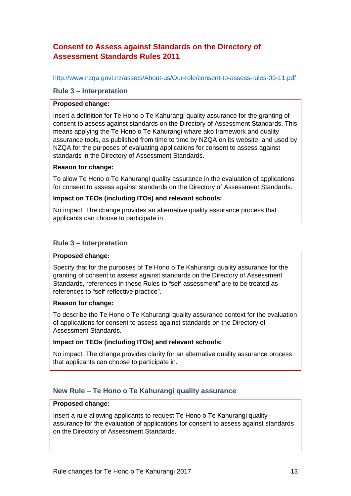# <span id="page-12-0"></span>**Consent to Assess against Standards on the Directory of Assessment Standards Rules 2011**

<http://www.nzqa.govt.nz/assets/About-us/Our-role/consent-to-assess-rules-09-11.pdf>

### <span id="page-12-1"></span>**Rule 3 – Interpretation**

### **Proposed change:**

Insert a definition for Te Hono o Te Kahurangi quality assurance for the granting of consent to assess against standards on the Directory of Assessment Standards. This means applying the Te Hono o Te Kahurangi whare ako framework and quality assurance tools, as published from time to time by NZQA on its website, and used by NZQA for the purposes of evaluating applications for consent to assess against standards in the Directory of Assessment Standards.

### **Reason for change:**

To allow Te Hono o Te Kahurangi quality assurance in the evaluation of applications for consent to assess against standards on the Directory of Assessment Standards.

### **Impact on TEOs (including ITOs) and relevant schools:**

No impact. The change provides an alternative quality assurance process that applicants can choose to participate in.

### <span id="page-12-2"></span>**Rule 3 – Interpretation**

#### **Proposed change:**

Specify that for the purposes of Te Hono o Te Kahurangi quality assurance for the granting of consent to assess against standards on the Directory of Assessment Standards, references in these Rules to "self-assessment" are to be treated as references to "self-reflective practice".

### **Reason for change:**

To describe the Te Hono o Te Kahurangi quality assurance context for the evaluation of applications for consent to assess against standards on the Directory of Assessment Standards.

### **Impact on TEOs (including ITOs) and relevant schools:**

No impact. The change provides clarity for an alternative quality assurance process that applicants can choose to participate in.

# <span id="page-12-3"></span>**New Rule – Te Hono o Te Kahurangi quality assurance**

### **Proposed change:**

Insert a rule allowing applicants to request Te Hono o Te Kahurangi quality assurance for the evaluation of applications for consent to assess against standards on the Directory of Assessment Standards.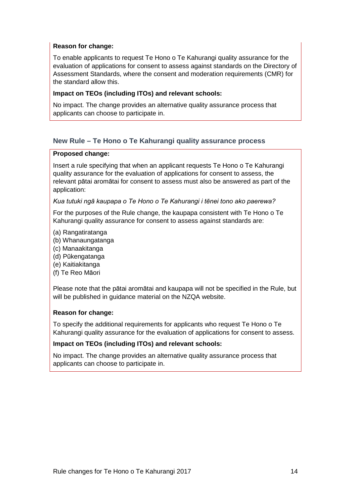### **Reason for change:**

To enable applicants to request Te Hono o Te Kahurangi quality assurance for the evaluation of applications for consent to assess against standards on the Directory of Assessment Standards, where the consent and moderation requirements (CMR) for the standard allow this.

### **Impact on TEOs (including ITOs) and relevant schools:**

No impact. The change provides an alternative quality assurance process that applicants can choose to participate in.

# <span id="page-13-0"></span>**New Rule – Te Hono o Te Kahurangi quality assurance process**

### **Proposed change:**

Insert a rule specifying that when an applicant requests Te Hono o Te Kahurangi quality assurance for the evaluation of applications for consent to assess, the relevant pātai aromātai for consent to assess must also be answered as part of the application:

### *Kua tutuki ngā kaupapa o Te Hono o Te Kahurangi i tēnei tono ako paerewa?*

For the purposes of the Rule change, the kaupapa consistent with Te Hono o Te Kahurangi quality assurance for consent to assess against standards are:

- (a) Rangatiratanga
- (b) Whanaungatanga
- (c) Manaakitanga
- (d) Pūkengatanga
- (e) Kaitiakitanga
- (f) Te Reo Māori

Please note that the pātai aromātai and kaupapa will not be specified in the Rule, but will be published in quidance material on the NZQA website.

### **Reason for change:**

To specify the additional requirements for applicants who request Te Hono o Te Kahurangi quality assurance for the evaluation of applications for consent to assess.

### **Impact on TEOs (including ITOs) and relevant schools:**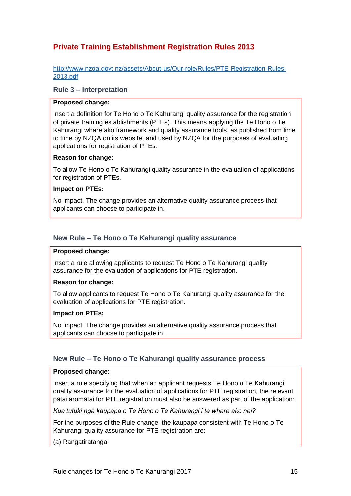# <span id="page-14-0"></span>**Private Training Establishment Registration Rules 2013**

[http://www.nzqa.govt.nz/assets/About-us/Our-role/Rules/PTE-Registration-Rules-](http://www.nzqa.govt.nz/assets/About-us/Our-role/Rules/PTE-Registration-Rules-2013.pdf)[2013.pdf](http://www.nzqa.govt.nz/assets/About-us/Our-role/Rules/PTE-Registration-Rules-2013.pdf)

### <span id="page-14-1"></span>**Rule 3 – Interpretation**

#### **Proposed change:**

Insert a definition for Te Hono o Te Kahurangi quality assurance for the registration of private training establishments (PTEs). This means applying the Te Hono o Te Kahurangi whare ako framework and quality assurance tools, as published from time to time by NZQA on its website, and used by NZQA for the purposes of evaluating applications for registration of PTEs.

#### **Reason for change:**

To allow Te Hono o Te Kahurangi quality assurance in the evaluation of applications for registration of PTEs.

#### **Impact on PTEs:**

No impact. The change provides an alternative quality assurance process that applicants can choose to participate in.

#### <span id="page-14-2"></span>**New Rule – Te Hono o Te Kahurangi quality assurance**

#### **Proposed change:**

Insert a rule allowing applicants to request Te Hono o Te Kahurangi quality assurance for the evaluation of applications for PTE registration.

#### **Reason for change:**

To allow applicants to request Te Hono o Te Kahurangi quality assurance for the evaluation of applications for PTE registration.

#### **Impact on PTEs:**

No impact. The change provides an alternative quality assurance process that applicants can choose to participate in.

#### <span id="page-14-3"></span>**New Rule – Te Hono o Te Kahurangi quality assurance process**

#### **Proposed change:**

Insert a rule specifying that when an applicant requests Te Hono o Te Kahurangi quality assurance for the evaluation of applications for PTE registration, the relevant pātai aromātai for PTE registration must also be answered as part of the application:

*Kua tutuki ngā kaupapa o Te Hono o Te Kahurangi i te whare ako nei?* 

For the purposes of the Rule change, the kaupapa consistent with Te Hono o Te Kahurangi quality assurance for PTE registration are:

(a) Rangatiratanga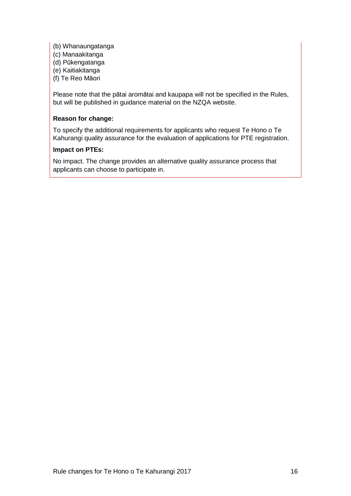- (b) Whanaungatanga
- (c) Manaakitanga
- (d) Pūkengatanga
- (e) Kaitiakitanga
- (f) Te Reo Māori

Please note that the pātai aromātai and kaupapa will not be specified in the Rules, but will be published in guidance material on the NZQA website.

### **Reason for change:**

To specify the additional requirements for applicants who request Te Hono o Te Kahurangi quality assurance for the evaluation of applications for PTE registration.

### **Impact on PTEs:**